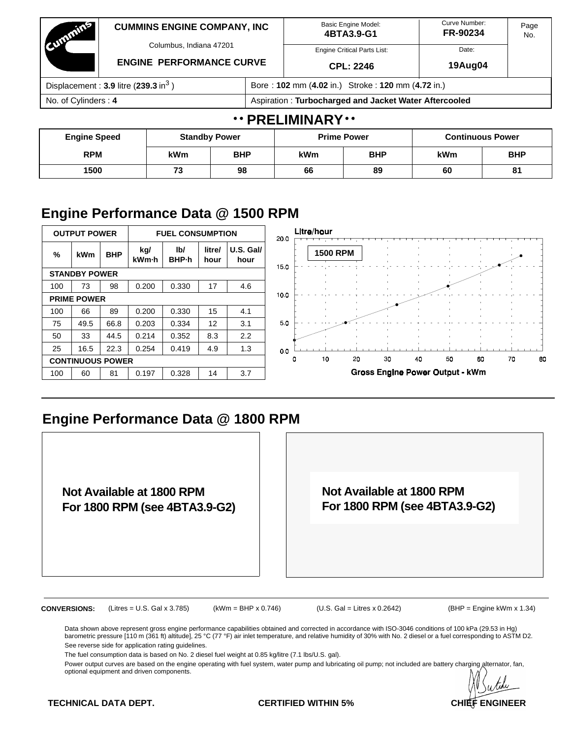| Committee                                          | <b>CUMMINS ENGINE COMPANY, INC</b><br>Columbus, Indiana 47201<br><b>ENGINE PERFORMANCE CURVE</b> |            |            |                                                       | <b>Basic Engine Model:</b><br>4BTA3.9-G1 | Curve Number:<br>FR-90234 | Page<br>No.             |  |  |
|----------------------------------------------------|--------------------------------------------------------------------------------------------------|------------|------------|-------------------------------------------------------|------------------------------------------|---------------------------|-------------------------|--|--|
|                                                    |                                                                                                  |            |            |                                                       | <b>Engine Critical Parts List:</b>       | Date:                     |                         |  |  |
|                                                    |                                                                                                  |            |            |                                                       | CPL: 2246                                | 19Aug04                   |                         |  |  |
| Displacement: $3.9$ litre (239.3 in <sup>3</sup> ) |                                                                                                  |            |            | Bore: 102 mm (4.02 in.) Stroke: 120 mm (4.72 in.)     |                                          |                           |                         |  |  |
| No. of Cylinders: 4                                |                                                                                                  |            |            | Aspiration: Turbocharged and Jacket Water Aftercooled |                                          |                           |                         |  |  |
|                                                    |                                                                                                  |            |            | $\cdots$ PRELIMINARY $\cdots$                         |                                          |                           |                         |  |  |
| <b>Engine Speed</b>                                | <b>Standby Power</b>                                                                             |            |            |                                                       | <b>Prime Power</b>                       |                           | <b>Continuous Power</b> |  |  |
| <b>RPM</b><br>kWm                                  |                                                                                                  | <b>BHP</b> | <b>kWm</b> | <b>BHP</b>                                            | <b>kWm</b>                               | <b>BHP</b>                |                         |  |  |

**1500 73 98 66 89 60 81**

### **Engine Performance Data @ 1500 RPM**

|     | <b>OUTPUT POWER</b>     |            |              | <b>FUEL CONSUMPTION</b>         |                |                   | 20.C            | Litre/hour      |    |    |                                 |    |    |    |    |
|-----|-------------------------|------------|--------------|---------------------------------|----------------|-------------------|-----------------|-----------------|----|----|---------------------------------|----|----|----|----|
| %   | kWm                     | <b>BHP</b> | kg/<br>kWm-h | I <sub>b</sub><br><b>BHP</b> -h | litre/<br>hour | U.S. Gal/<br>hour | 15 <sub>o</sub> | <b>1500 RPM</b> |    |    |                                 |    |    |    |    |
|     | <b>STANDBY POWER</b>    |            |              |                                 |                |                   |                 |                 |    |    |                                 |    |    |    |    |
| 100 | 73                      | 98         | 0.200        | 0.330                           | 17             | 4.6               |                 |                 |    |    |                                 |    |    |    |    |
|     | <b>PRIME POWER</b>      |            |              |                                 |                |                   | 10.0            |                 |    |    |                                 |    |    |    |    |
| 100 | 66                      | 89         | 0.200        | 0.330                           | 15             | 4.1               |                 |                 |    |    |                                 |    |    |    |    |
| 75  | 49.5                    | 66.8       | 0.203        | 0.334                           | 12             | 3.1               | 5.0             |                 |    |    |                                 |    |    |    |    |
| 50  | 33                      | 44.5       | 0.214        | 0.352                           | 8.3            | 2.2               |                 |                 |    |    |                                 |    |    |    |    |
| 25  | 16.5                    | 22.3       | 0.254        | 0.419                           | 4.9            | 1.3               | 0.0             |                 |    |    |                                 |    |    |    |    |
|     | <b>CONTINUOUS POWER</b> |            |              |                                 |                |                   |                 | 10<br>0         | 20 | 30 | 40                              | 50 | 60 | 70 | 80 |
| 100 | 60                      | 81         | 0.197        | 0.328                           | 14             | 3.7               |                 |                 |    |    | Gross Engine Power Output - kWm |    |    |    |    |

### **Engine Performance Data @ 1800 RPM**

**Not Available at 1800 RPM For 1800 RPM (see 4BTA3.9-G2)**

**Not Available at 1800 RPM For 1800 RPM (see 4BTA3.9-G2)**

**CONVERSIONS:** (Litres = U.S. Gal x 3.785) (kWm = BHP x 0.746) (U.S. Gal = Litres x 0.2642) (BHP = Engine kWm x 1.34)

Data shown above represent gross engine performance capabilities obtained and corrected in accordance with ISO-3046 conditions of 100 kPa (29.53 in Hg) barometric pressure [110 m (361 ft) altitude], 25 °C (77 °F) air inlet temperature, and relative humidity of 30% with No. 2 diesel or a fuel corresponding to ASTM D2. See reverse side for application rating guidelines.

The fuel consumption data is based on No. 2 diesel fuel weight at 0.85 kg/litre (7.1 lbs/U.S. gal).

Power output curves are based on the engine operating with fuel system, water pump and lubricating oil pump; not included are battery charging alternator, fan, optional equipment and driven components.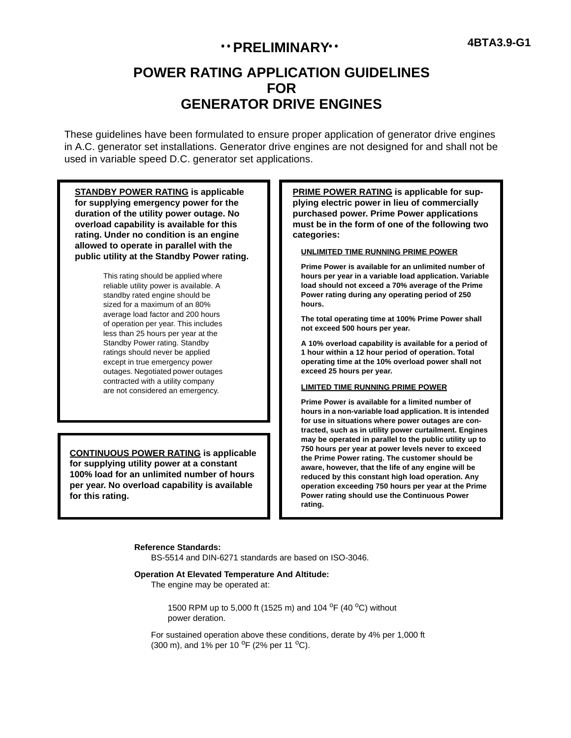## **1988 PRELIMINARY 1988 4BTA3.9-G1**

### **POWER RATING APPLICATION GUIDELINES FOR GENERATOR DRIVE ENGINES**

These guidelines have been formulated to ensure proper application of generator drive engines in A.C. generator set installations. Generator drive engines are not designed for and shall not be used in variable speed D.C. generator set applications.

**STANDBY POWER RATING is applicable for supplying emergency power for the duration of the utility power outage. No overload capability is available for this rating. Under no condition is an engine allowed to operate in parallel with the public utility at the Standby Power rating.**

> This rating should be applied where reliable utility power is available. A standby rated engine should be sized for a maximum of an 80% average load factor and 200 hours of operation per year. This includes less than 25 hours per year at the Standby Power rating. Standby ratings should never be applied except in true emergency power outages. Negotiated power outages contracted with a utility company are not considered an emergency.

**CONTINUOUS POWER RATING is applicable for supplying utility power at a constant 100% load for an unlimited number of hours per year. No overload capability is available for this rating.**

**PRIME POWER RATING is applicable for supplying electric power in lieu of commercially purchased power. Prime Power applications must be in the form of one of the following two categories:**

#### **UNLIMITED TIME RUNNING PRIME POWER**

**Prime Power is available for an unlimited number of hours per year in a variable load application. Variable load should not exceed a 70% average of the Prime Power rating during any operating period of 250 hours.**

**The total operating time at 100% Prime Power shall not exceed 500 hours per year.**

**A 10% overload capability is available for a period of 1 hour within a 12 hour period of operation. Total operating time at the 10% overload power shall not exceed 25 hours per year.**

#### **LIMITED TIME RUNNING PRIME POWER**

**Prime Power is available for a limited number of hours in a non-variable load application. It is intended for use in situations where power outages are contracted, such as in utility power curtailment. Engines may be operated in parallel to the public utility up to 750 hours per year at power levels never to exceed the Prime Power rating. The customer should be aware, however, that the life of any engine will be reduced by this constant high load operation. Any operation exceeding 750 hours per year at the Prime Power rating should use the Continuous Power rating.**

#### **Reference Standards:**

BS-5514 and DIN-6271 standards are based on ISO-3046.

#### **Operation At Elevated Temperature And Altitude:**

The engine may be operated at:

1500 RPM up to 5,000 ft (1525 m) and 104 <sup>o</sup>F (40 <sup>o</sup>C) without power deration.

For sustained operation above these conditions, derate by 4% per 1,000 ft (300 m), and 1% per 10  $^{\circ}$ F (2% per 11  $^{\circ}$ C).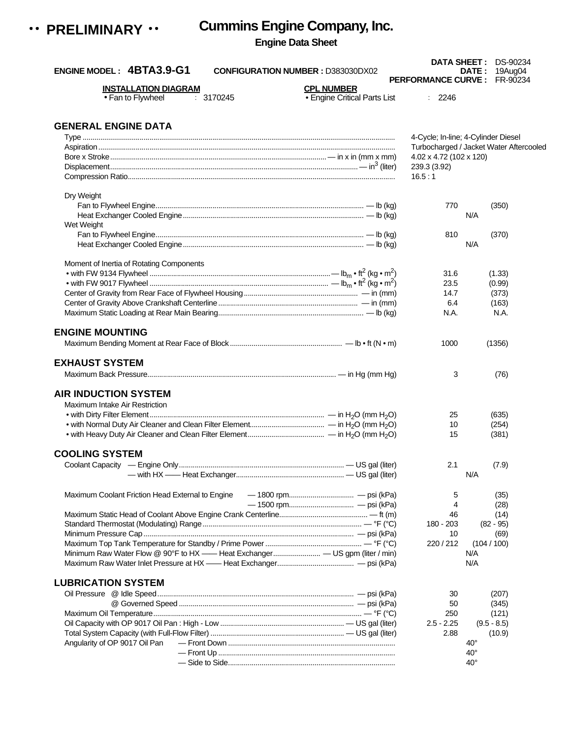

# **Cummins Engine Company, Inc.**

### **Engine Data Sheet**

| ENGINE MODEL: 4BTA3.9-G1<br><b>CONFIGURATION NUMBER : D383030DX02</b> |                                                   | <b>PERFORMANCE CURVE: FR-90234</b>      | <b>DATE: 19Aug04</b> |  |
|-----------------------------------------------------------------------|---------------------------------------------------|-----------------------------------------|----------------------|--|
| <b>INSTALLATION DIAGRAM</b><br>• Fan to Flywheel<br>: 3170245         | <b>CPL NUMBER</b><br>• Engine Critical Parts List | : 2246                                  |                      |  |
| <b>GENERAL ENGINE DATA</b>                                            |                                                   |                                         |                      |  |
|                                                                       |                                                   | 4-Cycle; In-line; 4-Cylinder Diesel     |                      |  |
|                                                                       |                                                   | Turbocharged / Jacket Water Aftercooled |                      |  |
|                                                                       |                                                   | 4.02 x 4.72 (102 x 120)                 |                      |  |
|                                                                       |                                                   | 239.3 (3.92)                            |                      |  |
|                                                                       |                                                   | 16.5:1                                  |                      |  |
| Dry Weight                                                            |                                                   |                                         |                      |  |
|                                                                       |                                                   | 770                                     | (350)                |  |
|                                                                       |                                                   |                                         | N/A                  |  |
| Wet Weight                                                            |                                                   |                                         |                      |  |
|                                                                       |                                                   | 810                                     | (370)                |  |
|                                                                       |                                                   |                                         | N/A                  |  |
| Moment of Inertia of Rotating Components                              |                                                   |                                         |                      |  |
|                                                                       |                                                   | 31.6                                    | (1.33)               |  |
|                                                                       |                                                   | 23.5                                    |                      |  |
|                                                                       |                                                   |                                         | (0.99)               |  |
|                                                                       |                                                   | 14.7                                    | (373)                |  |
|                                                                       |                                                   | 6.4                                     | (163)                |  |
|                                                                       |                                                   | N.A.                                    | N.A.                 |  |
| <b>ENGINE MOUNTING</b>                                                |                                                   |                                         |                      |  |
|                                                                       |                                                   | 1000                                    | (1356)               |  |
|                                                                       |                                                   |                                         |                      |  |
| <b>EXHAUST SYSTEM</b>                                                 |                                                   |                                         |                      |  |
|                                                                       |                                                   | 3                                       | (76)                 |  |
| <b>AIR INDUCTION SYSTEM</b>                                           |                                                   |                                         |                      |  |
| Maximum Intake Air Restriction                                        |                                                   |                                         |                      |  |
|                                                                       |                                                   | 25                                      | (635)                |  |
|                                                                       |                                                   | 10                                      | (254)                |  |
|                                                                       |                                                   | 15                                      | (381)                |  |
| <b>COOLING SYSTEM</b>                                                 |                                                   |                                         |                      |  |
|                                                                       |                                                   | 2.1                                     | (7.9)                |  |
|                                                                       |                                                   |                                         |                      |  |
|                                                                       |                                                   |                                         | N/A                  |  |
| Maximum Coolant Friction Head External to Engine                      |                                                   | 5                                       | (35)                 |  |
|                                                                       |                                                   | 4                                       | (28)                 |  |
|                                                                       |                                                   | 46                                      | (14)                 |  |
|                                                                       |                                                   | 180 - 203                               | $(82 - 95)$          |  |
|                                                                       |                                                   | 10                                      | (69)                 |  |
|                                                                       |                                                   | 220/212                                 | (104/100)            |  |
|                                                                       |                                                   |                                         | N/A                  |  |
|                                                                       |                                                   |                                         | N/A                  |  |
|                                                                       |                                                   |                                         |                      |  |
| <b>LUBRICATION SYSTEM</b>                                             |                                                   |                                         |                      |  |
|                                                                       |                                                   | 30                                      | (207)                |  |
|                                                                       |                                                   | 50                                      | (345)                |  |
|                                                                       |                                                   | 250                                     | (121)                |  |
|                                                                       |                                                   | $2.5 - 2.25$                            | $(9.5 - 8.5)$        |  |
|                                                                       |                                                   | 2.88                                    | (10.9)               |  |
| Angularity of OP 9017 Oil Pan                                         |                                                   |                                         | $40^{\circ}$         |  |
|                                                                       |                                                   |                                         | $40^{\circ}$         |  |
|                                                                       |                                                   |                                         | $40^{\circ}$         |  |